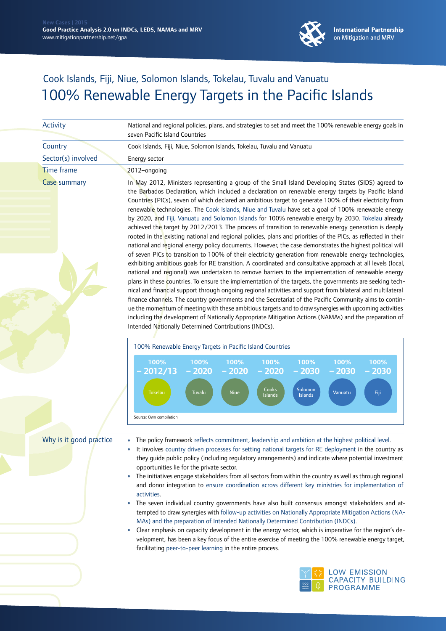

**International Partnership** on Mitigation and MRV

## Cook Islands, Fiji, Niue, Solomon Islands, Tokelau, Tuvalu and Vanuatu 100% Renewable Energy Targets in the Pacific Islands

| Activity                | National and regional policies, plans, and strategies to set and meet the 100% renewable energy goals in                                                                                                                                                                                                                                                                                                                                                                                                                                                                                                                                                                                                                                                                                                                                                                                                                                                                                                                                                                                                                                                                                                                                                                                                                                                                                                                                                                                                                                                                                                                                                                                                                                                                                                                                                                              |
|-------------------------|---------------------------------------------------------------------------------------------------------------------------------------------------------------------------------------------------------------------------------------------------------------------------------------------------------------------------------------------------------------------------------------------------------------------------------------------------------------------------------------------------------------------------------------------------------------------------------------------------------------------------------------------------------------------------------------------------------------------------------------------------------------------------------------------------------------------------------------------------------------------------------------------------------------------------------------------------------------------------------------------------------------------------------------------------------------------------------------------------------------------------------------------------------------------------------------------------------------------------------------------------------------------------------------------------------------------------------------------------------------------------------------------------------------------------------------------------------------------------------------------------------------------------------------------------------------------------------------------------------------------------------------------------------------------------------------------------------------------------------------------------------------------------------------------------------------------------------------------------------------------------------------|
|                         | seven Pacific Island Countries                                                                                                                                                                                                                                                                                                                                                                                                                                                                                                                                                                                                                                                                                                                                                                                                                                                                                                                                                                                                                                                                                                                                                                                                                                                                                                                                                                                                                                                                                                                                                                                                                                                                                                                                                                                                                                                        |
| Country                 | Cook Islands, Fiji, Niue, Solomon Islands, Tokelau, Tuvalu and Vanuatu                                                                                                                                                                                                                                                                                                                                                                                                                                                                                                                                                                                                                                                                                                                                                                                                                                                                                                                                                                                                                                                                                                                                                                                                                                                                                                                                                                                                                                                                                                                                                                                                                                                                                                                                                                                                                |
| Sector(s) involved      | Energy sector                                                                                                                                                                                                                                                                                                                                                                                                                                                                                                                                                                                                                                                                                                                                                                                                                                                                                                                                                                                                                                                                                                                                                                                                                                                                                                                                                                                                                                                                                                                                                                                                                                                                                                                                                                                                                                                                         |
| <b>Time frame</b>       | 2012-ongoing                                                                                                                                                                                                                                                                                                                                                                                                                                                                                                                                                                                                                                                                                                                                                                                                                                                                                                                                                                                                                                                                                                                                                                                                                                                                                                                                                                                                                                                                                                                                                                                                                                                                                                                                                                                                                                                                          |
| Case summary            | In May 2012, Ministers representing a group of the Small Island Developing States (SIDS) agreed to<br>the Barbados Declaration, which included a declaration on renewable energy targets by Pacific Island<br>Countries (PICs), seven of which declared an ambitious target to generate 100% of their electricity from<br>renewable technologies. The Cook Islands, Niue and Tuvalu have set a goal of 100% renewable energy<br>by 2020, and Fiji, Vanuatu and Solomon Islands for 100% renewable energy by 2030. Tokelau already<br>achieved the target by 2012/2013. The process of transition to renewable energy generation is deeply<br>rooted in the existing national and regional policies, plans and priorities of the PICs, as reflected in their<br>national and regional energy policy documents. However, the case demonstrates the highest political will<br>of seven PICs to transition to 100% of their electricity generation from renewable energy technologies,<br>exhibiting ambitious goals for RE transition. A coordinated and consultative approach at all levels (local,<br>national and regional) was undertaken to remove barriers to the implementation of renewable energy<br>plans in these countries. To ensure the implementation of the targets, the governments are seeking tech-<br>nical and financial support through ongoing regional activities and support from bilateral and multilateral<br>finance channels. The country governments and the Secretariat of the Pacific Community aims to contin-<br>ue the momentum of meeting with these ambitious targets and to draw synergies with upcoming activities<br>including the development of Nationally Appropriate Mitigation Actions (NAMAs) and the preparation of<br>Intended Nationally Determined Contributions (INDCs).<br>100% Renewable Energy Targets in Pacific Island Countries |
|                         | 100%<br>100%<br>100%<br>100%<br>100%<br>100%<br>100%<br>$-2020$<br>$-2020$<br>$-2020$<br>$-2030$<br>2012/13<br>$-2030$<br>- 2030<br>Cooks<br>Solomon<br><b>Niue</b><br>Fiji<br><b>Tokelau</b><br>Tuvalu<br>Vanuatu<br>Islands<br><b>Islands</b><br>Source: Own compilation                                                                                                                                                                                                                                                                                                                                                                                                                                                                                                                                                                                                                                                                                                                                                                                                                                                                                                                                                                                                                                                                                                                                                                                                                                                                                                                                                                                                                                                                                                                                                                                                            |
| Why is it good practice | The policy framework reflects commitment, leadership and ambition at the highest political level.<br>$\boldsymbol{\mathcal{V}}$<br>It involves country driven processes for setting national targets for RE deployment in the country as<br>»<br>they guide public policy (including regulatory arrangements) and indicate where potential investment<br>opportunities lie for the private sector.<br>The initiatives engage stakeholders from all sectors from within the country as well as through regional<br>$\boldsymbol{\mathcal{Y}}$<br>and donor integration to ensure coordination across different key ministries for implementation of<br>activities.<br>The seven individual country governments have also built consensus amongst stakeholders and at-<br>$\boldsymbol{\mathcal{Y}}$<br>tempted to draw synergies with follow-up activities on Nationally Appropriate Mitigation Actions (NA-<br>MAs) and the preparation of Intended Nationally Determined Contribution (INDCs).                                                                                                                                                                                                                                                                                                                                                                                                                                                                                                                                                                                                                                                                                                                                                                                                                                                                                       |



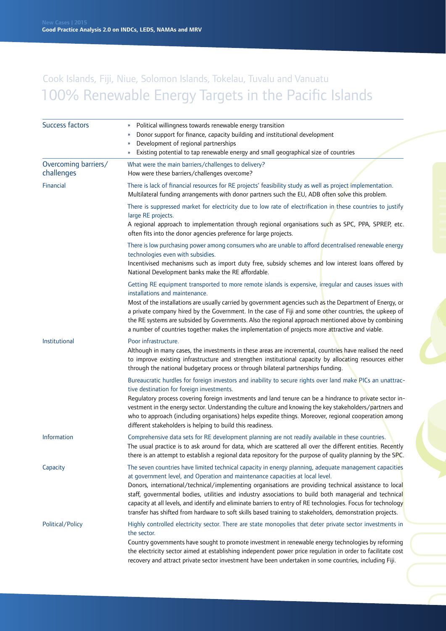## Cook Islands, Fiji, Niue, Solomon Islands, Tokelau, Tuvalu and Vanuatu 100% Renewable Energy Targets in the Pacific Islands

| Success factors                    | Political willingness towards renewable energy transition<br>Donor support for finance, capacity building and institutional development<br>Development of regional partnerships                                                                                                                                                                                                                                                                                                                                                                                                                                                           |
|------------------------------------|-------------------------------------------------------------------------------------------------------------------------------------------------------------------------------------------------------------------------------------------------------------------------------------------------------------------------------------------------------------------------------------------------------------------------------------------------------------------------------------------------------------------------------------------------------------------------------------------------------------------------------------------|
| Overcoming barriers/<br>challenges | Existing potential to tap renewable energy and small geographical size of countries<br>What were the main barriers/challenges to delivery?<br>How were these barriers/challenges overcome?                                                                                                                                                                                                                                                                                                                                                                                                                                                |
| Financial                          | There is lack of financial resources for RE projects' feasibility study as well as project implementation.<br>Multilateral funding arrangements with donor partners such the EU, ADB often solve this problem.                                                                                                                                                                                                                                                                                                                                                                                                                            |
|                                    | There is suppressed market for electricity due to low rate of electrification in these countries to justify<br>large RE projects.<br>A regional approach to implementation through regional organisations such as SPC, PPA, SPREP, etc.<br>often fits into the donor agencies preference for large projects.                                                                                                                                                                                                                                                                                                                              |
|                                    | There is low purchasing power among consumers who are unable to afford decentralised renewable energy<br>technologies even with subsidies.<br>Incentivised mechanisms such as import duty free, subsidy schemes and low interest loans offered by<br>National Development banks make the RE affordable.                                                                                                                                                                                                                                                                                                                                   |
|                                    | Getting RE equipment transported to more remote islands is expensive, irregular and causes issues with<br>installations and maintenance.<br>Most of the installations are usually carried by government agencies such as the Department of Energy, or<br>a private company hired by the Government. In the case of Fiji and some other countries, the upkeep of<br>the RE systems are subsided by Governments. Also the regional approach mentioned above by combining<br>a number of countries together makes the implementation of projects more attractive and viable.                                                                 |
| Institutional                      | Poor infrastructure.<br>Although in many cases, the investments in these areas are incremental, countries have realised the need<br>to improve existing infrastructure and strengthen institutional capacity by allocating resources either<br>through the national budgetary process or through bilateral partnerships funding.                                                                                                                                                                                                                                                                                                          |
|                                    | Bureaucratic hurdles for foreign investors and inability to secure rights over land make PICs an unattrac-<br>tive destination for foreign investments.<br>Regulatory process covering foreign investments and land tenure can be a hindrance to private sector in-<br>vestment in the energy sector. Understanding the culture and knowing the key stakeholders/partners and<br>who to approach (including organisations) helps expedite things. Moreover, regional cooperation among<br>different stakeholders is helping to build this readiness.                                                                                      |
| <b>Information</b>                 | Comprehensive data sets for RE development planning are not readily available in these countries.<br>The usual practice is to ask around for data, which are scattered all over the different entities. Recently<br>there is an attempt to establish a regional data repository for the purpose of quality planning by the SPC.                                                                                                                                                                                                                                                                                                           |
| Capacity                           | The seven countries have limited technical capacity in energy planning, adequate management capacities<br>at government level, and Operation and maintenance capacities at local level.<br>Donors, international/technical/implementing organisations are providing technical assistance to local<br>staff, governmental bodies, utilities and industry associations to build both managerial and technical<br>capacity at all levels, and identify and eliminate barriers to entry of RE technologies. Focus for technology<br>transfer has shifted from hardware to soft skills based training to stakeholders, demonstration projects. |
| Political/Policy                   | Highly controlled electricity sector. There are state monopolies that deter private sector investments in<br>the sector.<br>Country governments have sought to promote investment in renewable energy technologies by reforming<br>the electricity sector aimed at establishing independent power price regulation in order to facilitate cost<br>recovery and attract private sector investment have been undertaken in some countries, including Fiji.                                                                                                                                                                                  |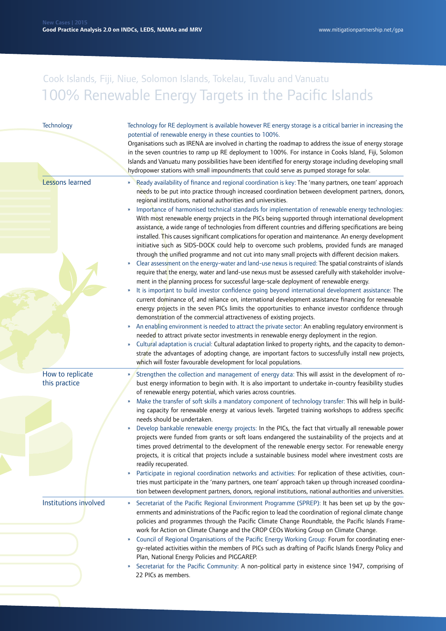## Cook Islands, Fiji, Niue, Solomon Islands, Tokelau, Tuvalu and Vanuatu 100% Renewable Energy Targets in the Pacific Islands

| Technology<br>Technology for RE deployment is available however RE energy storage is a critical barrier in increasing the<br>potential of renewable energy in these counties to 100%.<br>Organisations such as IRENA are involved in charting the roadmap to address the issue of energy storage<br>in the seven countries to ramp up RE deployment to 100%. For instance in Cooks Island, Fiji, Solomon<br>Islands and Vanuatu many possibilities have been identified for energy storage including developing small<br>hydropower stations with small impoundments that could serve as pumped storage for solar.<br>Lessons learned<br>Ready availability of finance and regional coordination is key: The 'many partners, one team' approach<br>»<br>needs to be put into practice through increased coordination between development partners, donors,<br>regional institutions, national authorities and universities.<br>Importance of harmonised technical standards for implementation of renewable energy technologies:<br>»<br>With most renewable energy projects in the PICs being supported through international development<br>assistance, a wide range of technologies from different countries and differing specifications are being<br>installed. This causes significant complications for operation and maintenance. An energy development<br>initiative such as SIDS-DOCK could help to overcome such problems, provided funds are managed<br>through the unified programme and not cut into many small projects with different decision makers.<br>Clear assessment on the energy-water and land-use nexus is required: The spatial constraints of islands<br>$\boldsymbol{\mathcal{V}}$<br>require that the energy, water and land-use nexus must be assessed carefully with stakeholder involve-<br>ment in the planning process for successful large-scale deployment of renewable energy.<br>It is important to build investor confidence going beyond international development assistance: The<br>»<br>current dominance of, and reliance on, international development assistance financing for renewable<br>energy projects in the seven PICs limits the opportunities to enhance investor confidence through<br>demonstration of the commercial attractiveness of existing projects.<br>An enabling environment is needed to attract the private sector: An enabling regulatory environment is<br>»<br>needed to attract private sector investments in renewable energy deployment in the region.<br>Cultural adaptation is crucial: Cultural adaptation linked to property rights, and the capacity to demon-<br>»<br>strate the advantages of adopting change, are important factors to successfully install new projects,<br>which will foster favourable development for local populations.<br>How to replicate<br>Strengthen the collection and management of energy data: This will assist in the development of ro-<br>this practice<br>bust energy information to begin with. It is also important to undertake in-country feasibility studies<br>of renewable energy potential, which varies across countries.<br>Make the transfer of soft skills a mandatory component of technology transfer: This will help in build-<br>»<br>ing capacity for renewable energy at various levels. Targeted training workshops to address specific<br>needs should be undertaken.<br>Develop bankable renewable energy projects: In the PICs, the fact that virtually all renewable power<br>»<br>projects were funded from grants or soft loans endangered the sustainability of the projects and at<br>times proved detrimental to the development of the renewable energy sector. For renewable energy<br>projects, it is critical that projects include a sustainable business model where investment costs are<br>readily recuperated.<br>Participate in regional coordination networks and activities: For replication of these activities, coun-<br>»<br>tries must participate in the 'many partners, one team' approach taken up through increased coordina-<br>tion between development partners, donors, regional institutions, national authorities and universities.<br>Institutions involved<br>Secretariat of the Pacific Regional Environment Programme (SPREP): It has been set up by the gov-<br>»<br>ernments and administrations of the Pacific region to lead the coordination of regional climate change<br>policies and programmes through the Pacific Climate Change Roundtable, the Pacific Islands Frame-<br>work for Action on Climate Change and the CROP CEOs Working Group on Climate Change.<br>Council of Regional Organisations of the Pacific Energy Working Group: Forum for coordinating ener-<br>»<br>gy-related activities within the members of PICs such as drafting of Pacific Islands Energy Policy and<br>Plan, National Energy Policies and PIGGAREP.<br>Secretariat for the Pacific Community: A non-political party in existence since 1947, comprising of<br>22 PICs as members. |  |  |
|--------------------------------------------------------------------------------------------------------------------------------------------------------------------------------------------------------------------------------------------------------------------------------------------------------------------------------------------------------------------------------------------------------------------------------------------------------------------------------------------------------------------------------------------------------------------------------------------------------------------------------------------------------------------------------------------------------------------------------------------------------------------------------------------------------------------------------------------------------------------------------------------------------------------------------------------------------------------------------------------------------------------------------------------------------------------------------------------------------------------------------------------------------------------------------------------------------------------------------------------------------------------------------------------------------------------------------------------------------------------------------------------------------------------------------------------------------------------------------------------------------------------------------------------------------------------------------------------------------------------------------------------------------------------------------------------------------------------------------------------------------------------------------------------------------------------------------------------------------------------------------------------------------------------------------------------------------------------------------------------------------------------------------------------------------------------------------------------------------------------------------------------------------------------------------------------------------------------------------------------------------------------------------------------------------------------------------------------------------------------------------------------------------------------------------------------------------------------------------------------------------------------------------------------------------------------------------------------------------------------------------------------------------------------------------------------------------------------------------------------------------------------------------------------------------------------------------------------------------------------------------------------------------------------------------------------------------------------------------------------------------------------------------------------------------------------------------------------------------------------------------------------------------------------------------------------------------------------------------------------------------------------------------------------------------------------------------------------------------------------------------------------------------------------------------------------------------------------------------------------------------------------------------------------------------------------------------------------------------------------------------------------------------------------------------------------------------------------------------------------------------------------------------------------------------------------------------------------------------------------------------------------------------------------------------------------------------------------------------------------------------------------------------------------------------------------------------------------------------------------------------------------------------------------------------------------------------------------------------------------------------------------------------------------------------------------------------------------------------------------------------------------------------------------------------------------------------------------------------------------------------------------------------------------------------------------------------------------------------------------------------------------------------------------------------------------------------------------------------------------------------------------------------------------------------------------------------------------------------------------------------------------------------------------------------------------------------------------------------------------------------------------------------------------------------------|--|--|
|                                                                                                                                                                                                                                                                                                                                                                                                                                                                                                                                                                                                                                                                                                                                                                                                                                                                                                                                                                                                                                                                                                                                                                                                                                                                                                                                                                                                                                                                                                                                                                                                                                                                                                                                                                                                                                                                                                                                                                                                                                                                                                                                                                                                                                                                                                                                                                                                                                                                                                                                                                                                                                                                                                                                                                                                                                                                                                                                                                                                                                                                                                                                                                                                                                                                                                                                                                                                                                                                                                                                                                                                                                                                                                                                                                                                                                                                                                                                                                                                                                                                                                                                                                                                                                                                                                                                                                                                                                                                                                                                                                                                                                                                                                                                                                                                                                                                                                                                                                                                                                                              |  |  |
|                                                                                                                                                                                                                                                                                                                                                                                                                                                                                                                                                                                                                                                                                                                                                                                                                                                                                                                                                                                                                                                                                                                                                                                                                                                                                                                                                                                                                                                                                                                                                                                                                                                                                                                                                                                                                                                                                                                                                                                                                                                                                                                                                                                                                                                                                                                                                                                                                                                                                                                                                                                                                                                                                                                                                                                                                                                                                                                                                                                                                                                                                                                                                                                                                                                                                                                                                                                                                                                                                                                                                                                                                                                                                                                                                                                                                                                                                                                                                                                                                                                                                                                                                                                                                                                                                                                                                                                                                                                                                                                                                                                                                                                                                                                                                                                                                                                                                                                                                                                                                                                              |  |  |
|                                                                                                                                                                                                                                                                                                                                                                                                                                                                                                                                                                                                                                                                                                                                                                                                                                                                                                                                                                                                                                                                                                                                                                                                                                                                                                                                                                                                                                                                                                                                                                                                                                                                                                                                                                                                                                                                                                                                                                                                                                                                                                                                                                                                                                                                                                                                                                                                                                                                                                                                                                                                                                                                                                                                                                                                                                                                                                                                                                                                                                                                                                                                                                                                                                                                                                                                                                                                                                                                                                                                                                                                                                                                                                                                                                                                                                                                                                                                                                                                                                                                                                                                                                                                                                                                                                                                                                                                                                                                                                                                                                                                                                                                                                                                                                                                                                                                                                                                                                                                                                                              |  |  |
|                                                                                                                                                                                                                                                                                                                                                                                                                                                                                                                                                                                                                                                                                                                                                                                                                                                                                                                                                                                                                                                                                                                                                                                                                                                                                                                                                                                                                                                                                                                                                                                                                                                                                                                                                                                                                                                                                                                                                                                                                                                                                                                                                                                                                                                                                                                                                                                                                                                                                                                                                                                                                                                                                                                                                                                                                                                                                                                                                                                                                                                                                                                                                                                                                                                                                                                                                                                                                                                                                                                                                                                                                                                                                                                                                                                                                                                                                                                                                                                                                                                                                                                                                                                                                                                                                                                                                                                                                                                                                                                                                                                                                                                                                                                                                                                                                                                                                                                                                                                                                                                              |  |  |
|                                                                                                                                                                                                                                                                                                                                                                                                                                                                                                                                                                                                                                                                                                                                                                                                                                                                                                                                                                                                                                                                                                                                                                                                                                                                                                                                                                                                                                                                                                                                                                                                                                                                                                                                                                                                                                                                                                                                                                                                                                                                                                                                                                                                                                                                                                                                                                                                                                                                                                                                                                                                                                                                                                                                                                                                                                                                                                                                                                                                                                                                                                                                                                                                                                                                                                                                                                                                                                                                                                                                                                                                                                                                                                                                                                                                                                                                                                                                                                                                                                                                                                                                                                                                                                                                                                                                                                                                                                                                                                                                                                                                                                                                                                                                                                                                                                                                                                                                                                                                                                                              |  |  |
|                                                                                                                                                                                                                                                                                                                                                                                                                                                                                                                                                                                                                                                                                                                                                                                                                                                                                                                                                                                                                                                                                                                                                                                                                                                                                                                                                                                                                                                                                                                                                                                                                                                                                                                                                                                                                                                                                                                                                                                                                                                                                                                                                                                                                                                                                                                                                                                                                                                                                                                                                                                                                                                                                                                                                                                                                                                                                                                                                                                                                                                                                                                                                                                                                                                                                                                                                                                                                                                                                                                                                                                                                                                                                                                                                                                                                                                                                                                                                                                                                                                                                                                                                                                                                                                                                                                                                                                                                                                                                                                                                                                                                                                                                                                                                                                                                                                                                                                                                                                                                                                              |  |  |